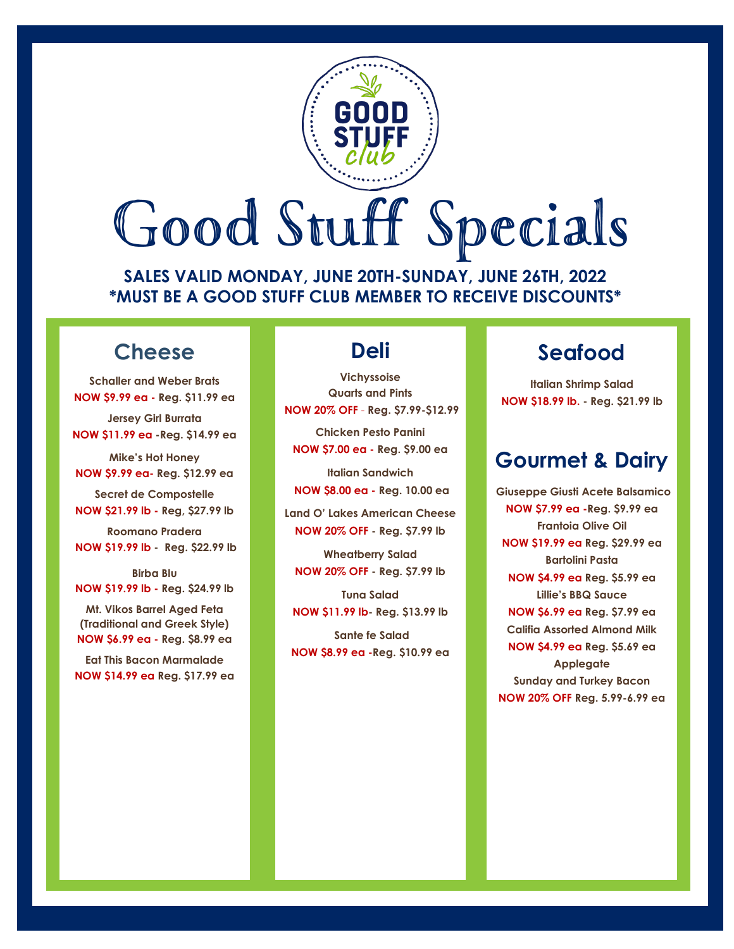# Good Stuff Specials

**SALES VALID MONDAY, JUNE 20TH-SUNDAY, JUNE 26TH, 2022 \*MUST BE A GOOD STUFF CLUB MEMBER TO RECEIVE DISCOUNTS\***

## **Cheese**

**Schaller and Weber Brats NOW \$9.99 ea - Reg. \$11.99 ea**

**Jersey Girl Burrata NOW \$11.99 ea -Reg. \$14.99 ea** 

**Mike's Hot Honey NOW \$9.99 ea- Reg. \$12.99 ea**

**Secret de Compostelle NOW \$21.99 lb - Reg, \$27.99 lb**

**Roomano Pradera NOW \$19.99 lb - Reg. \$22.99 lb**

**Birba Blu NOW \$19.99 lb - Reg. \$24.99 lb**

**Mt. Vikos Barrel Aged Feta (Traditional and Greek Style) NOW \$6.99 ea - Reg. \$8.99 ea**

**Eat This Bacon Marmalade NOW \$14.99 ea Reg. \$17.99 ea**

## **Deli**

**Vichyssoise Quarts and Pints NOW 20% OFF** - **Reg. \$7.99-\$12.99 Chicken Pesto Panini NOW \$7.00 ea - Reg. \$9.00 ea**

**Italian Sandwich NOW \$8.00 ea - Reg. 10.00 ea**

**Land O' Lakes American Cheese NOW 20% OFF - Reg. \$7.99 lb**

**Wheatberry Salad NOW 20% OFF - Reg. \$7.99 lb**

**Tuna Salad NOW \$11.99 lb- Reg. \$13.99 lb**

**Sante fe Salad NOW \$8.99 ea -Reg. \$10.99 ea**

## **Seafood**

**Italian Shrimp Salad NOW \$18.99 lb. - Reg. \$21.99 lb**

## **Gourmet & Dairy**

**Giuseppe Giusti Acete Balsamico NOW \$7.99 ea -Reg. \$9.99 ea Frantoia Olive Oil NOW \$19.99 ea Reg. \$29.99 ea Bartolini Pasta NOW \$4.99 ea Reg. \$5.99 ea Lillie's BBQ Sauce NOW \$6.99 ea Reg. \$7.99 ea Califia Assorted Almond Milk NOW \$4.99 ea Reg. \$5.69 ea Applegate Sunday and Turkey Bacon NOW 20% OFF Reg. 5.99-6.99 ea**